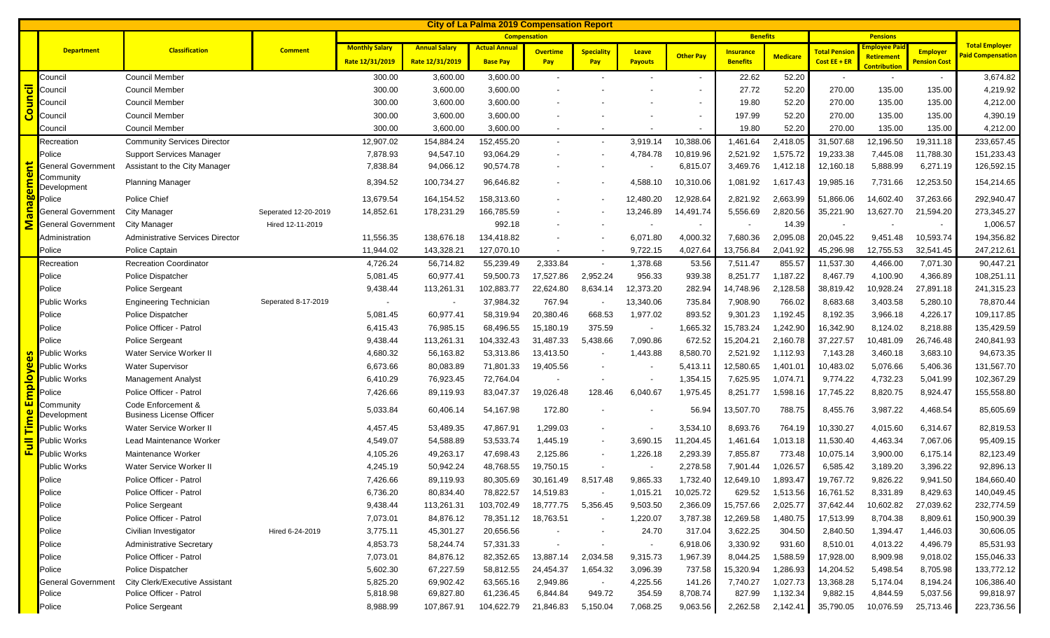| <b>City of La Palma 2019 Compensation Report</b> |                           |                                                       |                      |                       |                      |                      |                          |                          |                          |                          |                  |                 |                          |                                          |                     |                                                   |
|--------------------------------------------------|---------------------------|-------------------------------------------------------|----------------------|-----------------------|----------------------|----------------------|--------------------------|--------------------------|--------------------------|--------------------------|------------------|-----------------|--------------------------|------------------------------------------|---------------------|---------------------------------------------------|
|                                                  |                           |                                                       |                      | <b>Compensation</b>   |                      |                      |                          |                          |                          |                          | <b>Benefits</b>  |                 | <b>Pensions</b>          |                                          |                     |                                                   |
|                                                  | <b>Department</b>         | <b>Classification</b>                                 | <b>Comment</b>       | <b>Monthly Salary</b> | <b>Annual Salary</b> | <b>Actual Annual</b> | <b>Overtime</b>          | <b>Speciality</b>        | Leave                    | <b>Other Pay</b>         | <b>Insurance</b> | <b>Medicare</b> | <b>Total Pensio</b>      | <mark>mployee Pa</mark>                  | <b>Employer</b>     | <b>Total Employer</b><br><b>Paid Compensation</b> |
|                                                  |                           |                                                       |                      | Rate 12/31/2019       | Rate 12/31/2019      | <b>Base Pay</b>      | Pay                      | Pay                      | <b>Payouts</b>           |                          | <b>Benefits</b>  |                 | Cost EE + ER             | <b>Retirement</b><br><b>Contribution</b> | <b>Pension Cost</b> |                                                   |
|                                                  | Council                   | <b>Council Member</b>                                 |                      | 300.00                | 3,600.00             | 3,600.00             | $\overline{\phantom{a}}$ |                          |                          |                          | 22.62            | 52.20           | $\overline{\phantom{a}}$ | $\sim$                                   |                     | 3,674.82                                          |
|                                                  | Council                   | <b>Council Member</b>                                 |                      | 300.00                | 3,600.00             | 3,600.00             |                          |                          |                          |                          | 27.72            | 52.20           | 270.00                   | 135.00                                   | 135.00              | 4,219.92                                          |
| Council                                          | Council                   | Council Member                                        |                      | 300.00                | 3,600.00             | 3,600.00             |                          |                          |                          |                          | 19.80            | 52.20           | 270.00                   | 135.00                                   | 135.00              | 4,212.00                                          |
|                                                  | Council                   | Council Member                                        |                      | 300.00                | 3,600.00             | 3,600.00             |                          |                          |                          | $\overline{\phantom{a}}$ | 197.99           | 52.20           | 270.00                   | 135.00                                   | 135.00              | 4,390.19                                          |
|                                                  | Council                   | <b>Council Member</b>                                 |                      | 300.00                | 3,600.00             | 3,600.00             |                          |                          |                          |                          | 19.80            | 52.20           | 270.00                   | 135.00                                   | 135.00              | 4,212.00                                          |
|                                                  | Recreation                | <b>Community Services Director</b>                    |                      | 12,907.02             | 154,884.24           | 152,455.20           | $\sim$                   |                          | 3,919.14                 | 10,388.06                | 1,461.64         | 2,418.05        | 31,507.68                | 12,196.50                                | 19,311.18           | 233,657.45                                        |
|                                                  | Police                    | <b>Support Services Manager</b>                       |                      | 7,878.93              | 94,547.10            | 93,064.29            | $\overline{\phantom{a}}$ |                          | 4,784.78                 | 10,819.96                | 2,521.92         | 1,575.72        | 19,233.38                | 7,445.08                                 | 11,788.30           | 151,233.43                                        |
|                                                  | <b>General Government</b> | Assistant to the City Manager                         |                      | 7,838.84              | 94,066.12            | 90,574.78            |                          |                          |                          | 6,815.07                 | 3,469.76         | 1,412.18        | 12,160.18                | 5,888.99                                 | 6,271.19            | 126,592.15                                        |
| anagement                                        | Community<br>Development  | <b>Planning Manager</b>                               |                      | 8,394.52              | 100,734.27           | 96,646.82            |                          |                          | 4,588.10                 | 10,310.06                | 1,081.92         | 1,617.43        | 19,985.16                | 7,731.66                                 | 12,253.50           | 154,214.65                                        |
|                                                  | Police                    | Police Chief                                          |                      | 13,679.54             | 164,154.52           | 158,313.60           |                          |                          | 12,480.20                | 12,928.64                | 2,821.92         | 2,663.99        | 51,866.06                | 14,602.40                                | 37,263.66           | 292,940.47                                        |
|                                                  | <b>General Government</b> | <b>City Manager</b>                                   | Seperated 12-20-2019 | 14,852.61             | 178,231.29           | 166,785.59           |                          |                          | 13,246.89                | 14,491.74                | 5,556.69         | 2,820.56        | 35,221.90                | 13,627.70                                | 21,594.20           | 273,345.27                                        |
| Ë                                                | <b>General Government</b> | <b>City Manager</b>                                   | Hired 12-11-2019     |                       |                      | 992.18               |                          |                          |                          |                          |                  | 14.39           |                          |                                          |                     | 1,006.57                                          |
|                                                  | Administration            | <b>Administrative Services Director</b>               |                      | 11,556.35             | 138,676.18           | 134,418.82           |                          |                          | 6,071.80                 | 4,000.32                 | 7,680.36         | 2,095.08        | 20,045.22                | 9,451.48                                 | 10,593.74           | 194,356.82                                        |
|                                                  | Police                    | Police Captain                                        |                      | 11,944.02             | 143,328.21           | 127,070.10           |                          |                          | 9,722.15                 | 4,027.64                 | 13,756.84        | 2,041.92        | 45,296.98                | 12,755.53                                | 32,541.45           | 247,212.61                                        |
|                                                  | Recreation                | <b>Recreation Coordinator</b>                         |                      | 4,726.24              | 56,714.82            | 55,239.49            | 2,333.84                 | $\overline{\phantom{a}}$ | 1,378.68                 | 53.56                    | 7,511.47         | 855.57          | 11,537.30                | 4,466.00                                 | 7,071.30            | 90,447.21                                         |
|                                                  | Police                    | Police Dispatcher                                     |                      | 5,081.45              | 60,977.41            | 59,500.73            | 17,527.86                | 2,952.24                 | 956.33                   | 939.38                   | 8,251.77         | 1,187.22        | 8,467.79                 | 4,100.90                                 | 4,366.89            | 108,251.11                                        |
|                                                  | Police                    | <b>Police Sergeant</b>                                |                      | 9,438.44              | 113,261.31           | 102,883.77           | 22,624.80                | 8,634.14                 | 12,373.20                | 282.94                   | 14,748.96        | 2,128.58        | 38,819.42                | 10,928.24                                | 27,891.18           | 241,315.23                                        |
|                                                  | <b>Public Works</b>       | <b>Engineering Technician</b>                         | Seperated 8-17-2019  | $\blacksquare$        |                      | 37,984.32            | 767.94                   |                          | 13,340.06                | 735.84                   | 7,908.90         | 766.02          | 8,683.68                 | 3,403.58                                 | 5,280.10            | 78,870.44                                         |
|                                                  | Police                    | Police Dispatcher                                     |                      | 5,081.45              | 60,977.41            | 58,319.94            | 20,380.46                | 668.53                   | 1,977.02                 | 893.52                   | 9,301.23         | 1,192.45        | 8,192.35                 | 3,966.18                                 | 4,226.17            | 109,117.85                                        |
|                                                  | Police                    | Police Officer - Patrol                               |                      | 6,415.43              | 76,985.15            | 68,496.55            | 15,180.19                | 375.59                   | $\overline{\phantom{a}}$ | 1,665.32                 | 15,783.24        | 1,242.90        | 16,342.90                | 8,124.02                                 | 8,218.88            | 135,429.59                                        |
|                                                  | Police                    | <b>Police Sergeant</b>                                |                      | 9,438.44              | 113,261.31           | 104,332.43           | 31,487.33                | 5,438.66                 | 7,090.86                 | 672.52                   | 15,204.21        | 2,160.78        | 37,227.57                | 10,481.09                                | 26,746.48           | 240,841.93                                        |
|                                                  | <b>Public Works</b>       | Water Service Worker II                               |                      | 4,680.32              | 56,163.82            | 53,313.86            | 13,413.50                |                          | 1,443.88                 | 8,580.70                 | 2,521.92         | 1,112.93        | 7,143.28                 | 3,460.18                                 | 3,683.10            | 94,673.35                                         |
|                                                  | <b>Public Works</b>       | <b>Water Supervisor</b>                               |                      | 6,673.66              | 80,083.89            | 71,801.33            | 19,405.56                |                          |                          | 5,413.11                 | 12,580.65        | 1,401.01        | 10,483.02                | 5,076.66                                 | 5,406.36            | 131,567.70                                        |
|                                                  | <b>Public Works</b>       | <b>Management Analyst</b>                             |                      | 6,410.29              | 76,923.45            | 72,764.04            | $\overline{\phantom{a}}$ |                          | $\overline{\phantom{a}}$ | 1,354.15                 | 7,625.95         | 1,074.71        | 9,774.22                 | 4,732.23                                 | 5,041.99            | 102,367.29                                        |
| Employees                                        | Police                    | Police Officer - Patrol                               |                      | 7,426.66              | 89,119.93            | 83,047.37            | 19,026.48                | 128.46                   | 6,040.67                 | 1,975.45                 | 8,251.77         | 1,598.16        | 17,745.22                | 8,820.75                                 | 8,924.47            | 155,558.80                                        |
|                                                  | Community<br>Development  | Code Enforcement &<br><b>Business License Officer</b> |                      | 5,033.84              | 60,406.14            | 54,167.98            | 172.80                   |                          |                          | 56.94                    | 13,507.70        | 788.75          | 8,455.76                 | 3,987.22                                 | 4,468.54            | 85,605.69                                         |
|                                                  | <b>Public Works</b>       | Water Service Worker II                               |                      | 4,457.45              | 53,489.35            | 47,867.91            | 1,299.03                 |                          |                          | 3,534.10                 | 8,693.76         | 764.19          | 10,330.27                | 4,015.60                                 | 6,314.67            | 82,819.53                                         |
| Full Time                                        | Public Works              | Lead Maintenance Worker                               |                      | 4,549.07              | 54,588.89            | 53,533.74            | 1,445.19                 | $\overline{\phantom{a}}$ | 3,690.15                 | 11,204.45                | 1,461.64         | 1,013.18        | 11,530.40                | 4,463.34                                 | 7,067.06            | 95,409.15                                         |
|                                                  | <b>Public Works</b>       | Maintenance Worker                                    |                      | 4,105.26              | 49,263.17            | 47,698.43            | 2,125.86                 | $\overline{\phantom{a}}$ | 1,226.18                 | 2,293.39                 | 7,855.87         | 773.48          | 10,075.14                | 3,900.00                                 | 6,175.14            | 82,123.49                                         |
|                                                  | <b>Public Works</b>       | Water Service Worker II                               |                      | 4,245.19              | 50,942.24            | 48,768.55            | 19,750.15                |                          | $\overline{\phantom{a}}$ | 2,278.58                 | 7,901.44         | 1,026.57        | 6,585.42                 | 3,189.20                                 | 3,396.22            | 92,896.13                                         |
|                                                  | Police                    | Police Officer - Patrol                               |                      | 7,426.66              | 89,119.93            | 80,305.69            | 30,161.49                | 8,517.48                 | 9,865.33                 | 1,732.40                 | 12,649.10        | 1,893.47        | 19,767.72                | 9,826.22                                 | 9,941.50            | 184,660.40                                        |
|                                                  | Police                    | Police Officer - Patrol                               |                      | 6,736.20              | 80,834.40            | 78,822.57            | 14,519.83                |                          | 1,015.21                 | 10,025.72                | 629.52           | 1,513.56        | 16,761.52                | 8,331.89                                 | 8,429.63            | 140,049.45                                        |
|                                                  | Police                    | <b>Police Sergeant</b>                                |                      | 9,438.44              | 113,261.31           | 103,702.49           | 18,777.75                | 5,356.45                 | 9,503.50                 | 2,366.09                 | 15,757.66        | 2,025.77        | 37,642.44                | 10,602.82                                | 27,039.62           | 232,774.59                                        |
|                                                  | Police                    | Police Officer - Patrol                               |                      | 7,073.01              | 84,876.12            | 78,351.12            | 18,763.51                | $\overline{\phantom{a}}$ | 1,220.07                 | 3,787.38                 | 12,269.58        | 1,480.75        | 17,513.99                | 8,704.38                                 | 8,809.61            | 150,900.39                                        |
|                                                  | Police                    | Civilian Investigator                                 | Hired 6-24-2019      | 3,775.11              | 45,301.27            | 20,656.56            | $\overline{\phantom{a}}$ |                          | 24.70                    | 317.04                   | 3,622.25         | 304.50          | 2,840.50                 | 1,394.47                                 | 1,446.03            | 30,606.05                                         |
|                                                  | Police                    | <b>Administrative Secretary</b>                       |                      | 4,853.73              | 58,244.74            | 57,331.33            |                          |                          | $\overline{\phantom{a}}$ | 6,918.06                 | 3,330.92         | 931.60          | 8,510.01                 | 4,013.22                                 | 4,496.79            | 85,531.93                                         |
|                                                  | Police                    | Police Officer - Patrol                               |                      | 7,073.01              | 84,876.12            | 82,352.65            | 13,887.14                | 2,034.58                 | 9,315.73                 | 1,967.39                 | 8,044.25         | 1,588.59        | 17,928.00                | 8,909.98                                 | 9,018.02            | 155,046.33                                        |
|                                                  | Police                    | Police Dispatcher                                     |                      | 5,602.30              | 67,227.59            | 58,812.55            | 24,454.37                | 1,654.32                 | 3,096.39                 | 737.58                   | 15,320.94        | 1,286.93        | 14,204.52                | 5,498.54                                 | 8,705.98            | 133,772.12                                        |
|                                                  | <b>General Government</b> | City Clerk/Executive Assistant                        |                      | 5,825.20              | 69,902.42            | 63,565.16            | 2,949.86                 |                          | 4,225.56                 | 141.26                   | 7,740.27         | 1,027.73        | 13,368.28                | 5,174.04                                 | 8,194.24            | 106,386.40                                        |
|                                                  | Police                    | Police Officer - Patrol                               |                      | 5,818.98              | 69,827.80            | 61,236.45            | 6,844.84                 | 949.72                   | 354.59                   | 8,708.74                 | 827.99           | 1,132.34        | 9,882.15                 | 4,844.59                                 | 5,037.56            | 99,818.97                                         |
|                                                  | Police                    | Police Sergeant                                       |                      | 8,988.99              | 107,867.91           | 104,622.79           | 21,846.83                | 5,150.04                 | 7,068.25                 | 9,063.56                 | 2,262.58         | 2,142.41        | 35,790.05                | 10,076.59                                | 25,713.46           | 223,736.56                                        |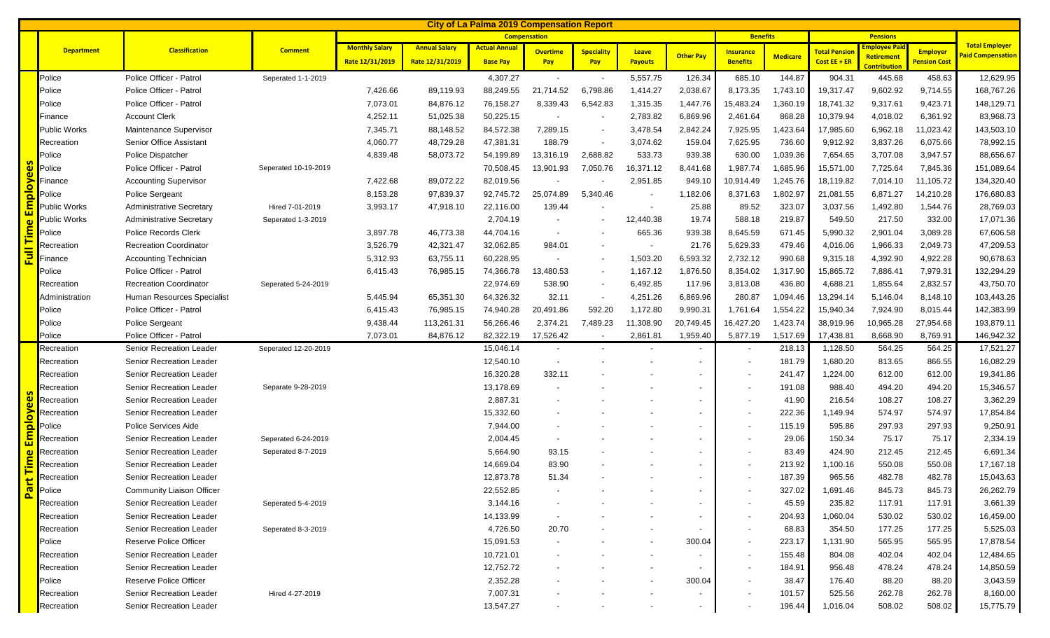|                                      | <b>City of La Palma 2019 Compensation Report</b> |                                  |                      |                       |                      |                      |                          |                          |                          |                          |                  |                 |                     |                                   |                     |                                                   |
|--------------------------------------|--------------------------------------------------|----------------------------------|----------------------|-----------------------|----------------------|----------------------|--------------------------|--------------------------|--------------------------|--------------------------|------------------|-----------------|---------------------|-----------------------------------|---------------------|---------------------------------------------------|
|                                      |                                                  |                                  |                      |                       | <b>Compensation</b>  |                      |                          |                          |                          |                          |                  | <b>Benefits</b> | <b>Pensions</b>     |                                   |                     |                                                   |
|                                      | <b>Department</b>                                | <b>Classification</b>            | <b>Comment</b>       | <b>Monthly Salary</b> | <b>Annual Salary</b> | <b>Actual Annual</b> | <b>Overtime</b>          | <b>Speciality</b>        | Leave                    |                          | <b>Insurance</b> |                 | <b>Total Pensio</b> | mployee Pai                       | Employer            | <b>Total Employer</b><br><b>Paid Compensation</b> |
|                                      |                                                  |                                  |                      | Rate 12/31/2019       | Rate 12/31/2019      | <b>Base Pay</b>      | Pay                      | Pay                      | Payouts                  | <b>Other Pay</b>         | <b>Benefits</b>  | <b>Medicare</b> | Cost $EE + ER$      | <b>Retirement</b><br>Contribution | <b>Pension Cost</b> |                                                   |
|                                      | Police                                           | Police Officer - Patrol          | Seperated 1-1-2019   |                       |                      | 4,307.27             | $\blacksquare$           | $\overline{\phantom{a}}$ | 5,557.75                 | 126.34                   | 685.10           | 144.87          | 904.31              | 445.68                            | 458.63              | 12,629.95                                         |
|                                      | Police                                           | Police Officer - Patrol          |                      | 7,426.66              | 89,119.93            | 88,249.55            | 21,714.52                | 6,798.86                 | 1,414.27                 | 2,038.67                 | 8,173.35         | 1,743.10        | 19,317.47           | 9,602.92                          | 9,714.55            | 168,767.26                                        |
|                                      | Police                                           | Police Officer - Patrol          |                      | 7,073.01              | 84,876.12            | 76,158.27            | 8,339.43                 | 6,542.83                 | 1,315.35                 | 1,447.76                 | 15,483.24        | 1,360.19        | 18,741.32           | 9,317.61                          | 9,423.71            | 148,129.71                                        |
|                                      | Finance                                          | <b>Account Clerk</b>             |                      | 4,252.11              | 51,025.38            | 50,225.15            | $\overline{\phantom{a}}$ |                          | 2,783.82                 | 6,869.96                 | 2,461.64         | 868.28          | 10,379.94           | 4,018.02                          | 6,361.92            | 83,968.73                                         |
|                                      | <b>Public Works</b>                              | Maintenance Supervisor           |                      | 7,345.71              | 88,148.52            | 84,572.38            | 7,289.15                 |                          | 3,478.54                 | 2,842.24                 | 7,925.95         | 1,423.64        | 17,985.60           | 6,962.18                          | 11,023.42           | 143,503.10                                        |
|                                      | Recreation                                       | Senior Office Assistant          |                      | 4,060.77              | 48,729.28            | 47,381.31            | 188.79                   |                          | 3,074.62                 | 159.04                   | 7,625.95         | 736.60          | 9,912.92            | 3,837.26                          | 6,075.66            | 78,992.15                                         |
|                                      | Police                                           | Police Dispatcher                |                      | 4,839.48              | 58,073.72            | 54,199.89            | 13,316.19                | 2,688.82                 | 533.73                   | 939.38                   | 630.00           | 1,039.36        | 7,654.65            | 3,707.08                          | 3,947.57            | 88,656.67                                         |
| စိ                                   | Police                                           | Police Officer - Patrol          | Seperated 10-19-2019 |                       |                      | 70,508.45            | 13,901.93                | 7,050.76                 | 16,371.12                | 8,441.68                 | 1,987.74         | 1,685.96        | 15,571.00           | 7,725.64                          | 7,845.36            | 151,089.64                                        |
| $\boldsymbol{\omega}$                | Finance                                          | <b>Accounting Supervisor</b>     |                      | 7,422.68              | 89,072.22            | 82,019.56            |                          |                          | 2,951.85                 | 949.10                   | 10,914.49        | 1,245.76        | 18,119.82           | 7,014.10                          | 11,105.72           | 134,320.40                                        |
| <mark>Nold</mark>                    | Police                                           | <b>Police Sergeant</b>           |                      | 8,153.28              | 97,839.37            | 92,745.72            | 25,074.89                | 5,340.46                 |                          | 1,182.06                 | 8,371.63         | 1,802.97        | 21,081.55           | 6,871.27                          | 14,210.28           | 176,680.83                                        |
| $\mathbf{E}$                         | Public Works                                     | <b>Administrative Secretary</b>  | Hired 7-01-2019      | 3,993.17              | 47,918.10            | 22,116.00            | 139.44                   |                          | $\overline{\phantom{a}}$ | 25.88                    | 89.52            | 323.07          | 3,037.56            | 1,492.80                          | 1,544.76            | 28,769.03                                         |
| $\omega$                             | Public Works                                     | <b>Administrative Secretary</b>  | Seperated 1-3-2019   |                       |                      | 2,704.19             | $\overline{\phantom{a}}$ |                          | 12,440.38                | 19.74                    | 588.18           | 219.87          | 549.50              | 217.50                            | 332.00              | 17,071.36                                         |
| <u>آھن</u>                           | Police                                           | <b>Police Records Clerk</b>      |                      | 3,897.78              | 46,773.38            | 44,704.16            | $\overline{\phantom{a}}$ |                          | 665.36                   | 939.38                   | 8,645.59         | 671.45          | 5,990.32            | 2,901.04                          | 3,089.28            | 67,606.58                                         |
|                                      | Recreation                                       | <b>Recreation Coordinator</b>    |                      | 3,526.79              | 42,321.47            | 32,062.85            | 984.01                   |                          | $\overline{\phantom{a}}$ | 21.76                    | 5,629.33         | 479.46          | 4,016.06            | 1,966.33                          | 2,049.73            | 47,209.53                                         |
| $\overline{\overline{\overline{5}}}$ | Finance                                          | <b>Accounting Technician</b>     |                      | 5,312.93              | 63,755.11            | 60,228.95            |                          |                          | 1,503.20                 | 6,593.32                 | 2,732.12         | 990.68          | 9,315.18            | 4,392.90                          | 4,922.28            | 90,678.63                                         |
|                                      | Police                                           | Police Officer - Patrol          |                      | 6,415.43              | 76,985.15            | 74,366.78            | 13,480.53                |                          | 1,167.12                 | 1,876.50                 | 8,354.02         | 1,317.90        | 15,865.72           | 7,886.41                          | 7,979.31            | 132,294.29                                        |
|                                      | Recreation                                       | <b>Recreation Coordinator</b>    | Seperated 5-24-2019  |                       |                      | 22,974.69            | 538.90                   |                          | 6,492.85                 | 117.96                   | 3,813.08         | 436.80          | 4,688.21            | 1,855.64                          | 2,832.57            | 43,750.70                                         |
|                                      | Administration                                   | Human Resources Specialist       |                      | 5,445.94              | 65,351.30            | 64,326.32            | 32.11                    |                          | 4,251.26                 | 6,869.96                 | 280.87           | 1,094.46        | 13,294.14           | 5,146.04                          | 8,148.10            | 103,443.26                                        |
|                                      | Police                                           | Police Officer - Patrol          |                      | 6,415.43              | 76,985.15            | 74,940.28            | 20,491.86                | 592.20                   | 1,172.80                 | 9,990.31                 | 1,761.64         | 1,554.22        | 15,940.34           | 7,924.90                          | 8,015.44            | 142,383.99                                        |
|                                      | Police                                           | <b>Police Sergeant</b>           |                      | 9,438.44              | 113,261.31           | 56,266.46            | 2,374.21                 | 7,489.23                 | 11,308.90                | 20,749.45                | 16,427.20        | 1,423.74        | 38,919.96           | 10,965.28                         | 27,954.68           | 193,879.11                                        |
|                                      | Police                                           | Police Officer - Patrol          |                      | 7,073.01              | 84,876.12            | 82,322.19            | 17,526.42                |                          | 2,861.81                 | 1,959.40                 | 5,877.19         | 1,517.69        | 17,438.81           | 8,668.90                          | 8,769.91            | 146,942.32                                        |
|                                      | Recreation                                       | Senior Recreation Leader         | Seperated 12-20-2019 |                       |                      | 15,046.14            | $\overline{\phantom{a}}$ |                          |                          |                          |                  | 218.13          | 1,128.50            | 564.25                            | 564.25              | 17,521.27                                         |
|                                      | Recreation                                       | Senior Recreation Leader         |                      |                       |                      | 12,540.10            | $\overline{\phantom{a}}$ |                          |                          |                          |                  | 181.79          | 1,680.20            | 813.65                            | 866.55              | 16,082.29                                         |
|                                      | Recreation                                       | Senior Recreation Leader         |                      |                       |                      | 16,320.28            | 332.11                   |                          |                          |                          |                  | 241.47          | 1,224.00            | 612.00                            | 612.00              | 19,341.86                                         |
|                                      | Recreation                                       | Senior Recreation Leader         | Separate 9-28-2019   |                       |                      | 13,178.69            |                          |                          |                          |                          |                  | 191.08          | 988.40              | 494.20                            | 494.20              | 15,346.57                                         |
| စိ                                   | Recreation                                       | <b>Senior Recreation Leader</b>  |                      |                       |                      | 2,887.31             |                          |                          |                          |                          |                  | 41.90           | 216.54              | 108.27                            | 108.27              | 3,362.29                                          |
| ployer                               | Recreation                                       | Senior Recreation Leader         |                      |                       |                      | 15,332.60            |                          |                          |                          | $\overline{\phantom{a}}$ |                  | 222.36          | 1,149.94            | 574.97                            | 574.97              | 17,854.84                                         |
|                                      | Police                                           | Police Services Aide             |                      |                       |                      | 7,944.00             |                          |                          |                          |                          |                  | 115.19          | 595.86              | 297.93                            | 297.93              | 9,250.91                                          |
| $\overline{\Xi}$                     | Recreation                                       | Senior Recreation Leader         | Seperated 6-24-2019  |                       |                      | 2,004.45             | $\overline{\phantom{a}}$ |                          |                          |                          |                  | 29.06           | 150.34              | 75.17                             | 75.17               | 2,334.19                                          |
| $\omega$                             | Recreation                                       | Senior Recreation Leader         | Seperated 8-7-2019   |                       |                      | 5,664.90             | 93.15                    |                          |                          |                          |                  | 83.49           | 424.90              | 212.45                            | 212.45              | 6,691.34                                          |
| <u>ia</u>                            | Recreation                                       | Senior Recreation Leader         |                      |                       |                      | 14,669.04            | 83.90                    |                          |                          |                          |                  | 213.92          | 1,100.16            | 550.08                            | 550.08              | 17,167.18                                         |
| $\overline{\phantom{a}}$             | Recreation                                       | <b>Senior Recreation Leader</b>  |                      |                       |                      | 12,873.78            | 51.34                    |                          |                          |                          |                  | 187.39          | 965.56              | 482.78                            | 482.78              | 15,043.63                                         |
| 。<br>2                               | Police                                           | <b>Community Liaison Officer</b> |                      |                       |                      | 22,552.85            |                          |                          |                          |                          |                  | 327.02          | 1,691.46            | 845.73                            | 845.73              | 26,262.79                                         |
|                                      | Recreation                                       | <b>Senior Recreation Leader</b>  | Seperated 5-4-2019   |                       |                      | 3,144.16             |                          |                          |                          |                          |                  | 45.59           | 235.82              | 117.91                            | 117.91              | 3,661.39                                          |
|                                      | Recreation                                       | Senior Recreation Leader         |                      |                       |                      | 14,133.99            | $\overline{\phantom{a}}$ |                          |                          | -                        |                  | 204.93          | 1,060.04            | 530.02                            | 530.02              | 16,459.00                                         |
|                                      | Recreation                                       | Senior Recreation Leader         | Seperated 8-3-2019   |                       |                      | 4,726.50             | 20.70                    |                          |                          | $\overline{\phantom{a}}$ |                  | 68.83           | 354.50              | 177.25                            | 177.25              | 5,525.03                                          |
|                                      | Police                                           | Reserve Police Officer           |                      |                       |                      | 15,091.53            | $\sim$                   |                          | $\overline{\phantom{a}}$ | 300.04                   |                  | 223.17          | 1,131.90            | 565.95                            | 565.95              | 17,878.54                                         |
|                                      | Recreation                                       | Senior Recreation Leader         |                      |                       |                      | 10,721.01            |                          |                          |                          |                          |                  | 155.48          | 804.08              | 402.04                            | 402.04              | 12,484.65                                         |
|                                      | Recreation                                       | <b>Senior Recreation Leader</b>  |                      |                       |                      | 12,752.72            |                          |                          |                          |                          |                  | 184.91          | 956.48              | 478.24                            | 478.24              | 14,850.59                                         |
|                                      | Police                                           | Reserve Police Officer           |                      |                       |                      | 2,352.28             |                          |                          |                          | 300.04                   |                  | 38.47           | 176.40              | 88.20                             | 88.20               | 3,043.59                                          |
|                                      | Recreation                                       | Senior Recreation Leader         | Hired 4-27-2019      |                       |                      | 7,007.31             |                          |                          |                          |                          |                  | 101.57          | 525.56              | 262.78                            | 262.78              | 8,160.00                                          |
|                                      | Recreation                                       | Senior Recreation Leader         |                      |                       |                      | 13,547.27            |                          |                          |                          | $\overline{\phantom{a}}$ |                  | 196.44          | 1,016.04            | 508.02                            | 508.02              | 15,775.79                                         |
|                                      |                                                  |                                  |                      |                       |                      |                      |                          |                          |                          |                          |                  |                 |                     |                                   |                     |                                                   |